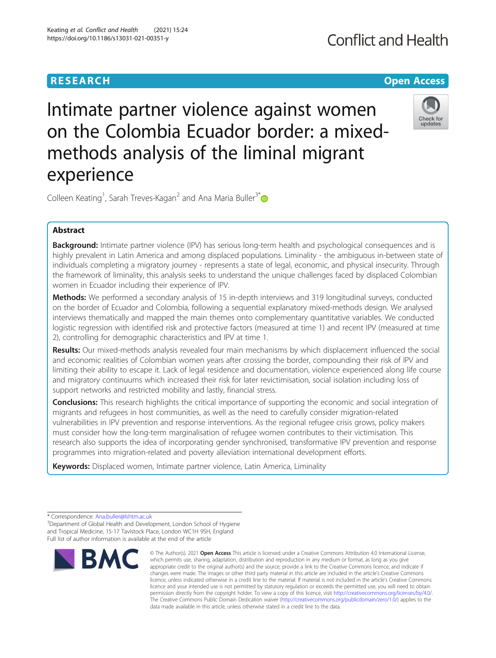# **RESEARCH CHEAR CHEAR CHEAR CHEAR CHEAR CHEAR CHEAR CHEAR CHEAR CHEAR CHEAR CHEAR CHEAR CHEAR CHEAR CHEAR CHEAR**

# **Conflict and Health**

# Intimate partner violence against women on the Colombia Ecuador border: a mixedmethods analysis of the liminal migrant experience



Colleen Keating<sup>1</sup>, Sarah Treves-Kagan<sup>2</sup> and Ana Maria Buller<sup>3[\\*](http://orcid.org/0000-0002-3007-9747)</sup>

# Abstract

**Background:** Intimate partner violence (IPV) has serious long-term health and psychological consequences and is highly prevalent in Latin America and among displaced populations. Liminality - the ambiguous in-between state of individuals completing a migratory journey - represents a state of legal, economic, and physical insecurity. Through the framework of liminality, this analysis seeks to understand the unique challenges faced by displaced Colombian women in Ecuador including their experience of IPV.

Methods: We performed a secondary analysis of 15 in-depth interviews and 319 longitudinal surveys, conducted on the border of Ecuador and Colombia, following a sequential explanatory mixed-methods design. We analysed interviews thematically and mapped the main themes onto complementary quantitative variables. We conducted logistic regression with identified risk and protective factors (measured at time 1) and recent IPV (measured at time 2), controlling for demographic characteristics and IPV at time 1.

Results: Our mixed-methods analysis revealed four main mechanisms by which displacement influenced the social and economic realities of Colombian women years after crossing the border, compounding their risk of IPV and limiting their ability to escape it. Lack of legal residence and documentation, violence experienced along life course and migratory continuums which increased their risk for later revictimisation, social isolation including loss of support networks and restricted mobility and lastly, financial stress.

**Conclusions:** This research highlights the critical importance of supporting the economic and social integration of migrants and refugees in host communities, as well as the need to carefully consider migration-related vulnerabilities in IPV prevention and response interventions. As the regional refugee crisis grows, policy makers must consider how the long-term marginalisation of refugee women contributes to their victimisation. This research also supports the idea of incorporating gender synchronised, transformative IPV prevention and response programmes into migration-related and poverty alleviation international development efforts.

Keywords: Displaced women, Intimate partner violence, Latin America, Liminality

<sup>&</sup>lt;sup>3</sup>Department of Global Health and Development, London School of Hygiene and Tropical Medicine, 15-17 Tavistock Place, London WC1H 9SH, England Full list of author information is available at the end of the article



<sup>©</sup> The Author(s), 2021 **Open Access** This article is licensed under a Creative Commons Attribution 4.0 International License, which permits use, sharing, adaptation, distribution and reproduction in any medium or format, as long as you give appropriate credit to the original author(s) and the source, provide a link to the Creative Commons licence, and indicate if changes were made. The images or other third party material in this article are included in the article's Creative Commons licence, unless indicated otherwise in a credit line to the material. If material is not included in the article's Creative Commons licence and your intended use is not permitted by statutory regulation or exceeds the permitted use, you will need to obtain permission directly from the copyright holder. To view a copy of this licence, visit [http://creativecommons.org/licenses/by/4.0/.](http://creativecommons.org/licenses/by/4.0/) The Creative Commons Public Domain Dedication waiver [\(http://creativecommons.org/publicdomain/zero/1.0/](http://creativecommons.org/publicdomain/zero/1.0/)) applies to the data made available in this article, unless otherwise stated in a credit line to the data.

<sup>\*</sup> Correspondence: [Ana.buller@lshtm.ac.uk](mailto:Ana.buller@lshtm.ac.uk) <sup>3</sup>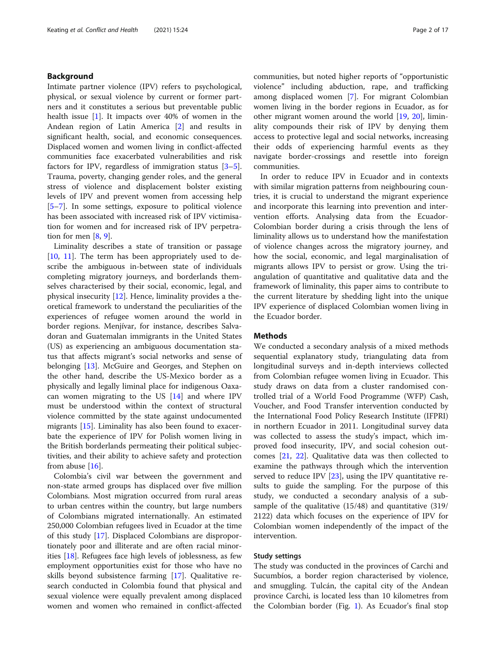# Background

Intimate partner violence (IPV) refers to psychological, physical, or sexual violence by current or former partners and it constitutes a serious but preventable public health issue [[1\]](#page-15-0). It impacts over 40% of women in the Andean region of Latin America [\[2](#page-15-0)] and results in significant health, social, and economic consequences. Displaced women and women living in conflict-affected communities face exacerbated vulnerabilities and risk factors for IPV, regardless of immigration status [\[3](#page-15-0)–[5](#page-15-0)]. Trauma, poverty, changing gender roles, and the general stress of violence and displacement bolster existing levels of IPV and prevent women from accessing help [[5](#page-15-0)–[7\]](#page-15-0). In some settings, exposure to political violence has been associated with increased risk of IPV victimisation for women and for increased risk of IPV perpetration for men  $[8, 9]$  $[8, 9]$  $[8, 9]$  $[8, 9]$  $[8, 9]$ .

Liminality describes a state of transition or passage [[10,](#page-15-0) [11](#page-15-0)]. The term has been appropriately used to describe the ambiguous in-between state of individuals completing migratory journeys, and borderlands themselves characterised by their social, economic, legal, and physical insecurity [\[12](#page-15-0)]. Hence, liminality provides a theoretical framework to understand the peculiarities of the experiences of refugee women around the world in border regions. Menjívar, for instance, describes Salvadoran and Guatemalan immigrants in the United States (US) as experiencing an ambiguous documentation status that affects migrant's social networks and sense of belonging [\[13\]](#page-15-0). McGuire and Georges, and Stephen on the other hand, describe the US-Mexico border as a physically and legally liminal place for indigenous Oaxacan women migrating to the US [\[14\]](#page-15-0) and where IPV must be understood within the context of structural violence committed by the state against undocumented migrants [\[15](#page-15-0)]. Liminality has also been found to exacerbate the experience of IPV for Polish women living in the British borderlands permeating their political subjectivities, and their ability to achieve safety and protection from abuse [[16](#page-15-0)].

Colombia's civil war between the government and non-state armed groups has displaced over five million Colombians. Most migration occurred from rural areas to urban centres within the country, but large numbers of Colombians migrated internationally. An estimated 250,000 Colombian refugees lived in Ecuador at the time of this study [[17\]](#page-15-0). Displaced Colombians are disproportionately poor and illiterate and are often racial minorities [[18](#page-15-0)]. Refugees face high levels of joblessness, as few employment opportunities exist for those who have no skills beyond subsistence farming [[17](#page-15-0)]. Qualitative research conducted in Colombia found that physical and sexual violence were equally prevalent among displaced women and women who remained in conflict-affected communities, but noted higher reports of "opportunistic violence" including abduction, rape, and trafficking among displaced women [\[7](#page-15-0)]. For migrant Colombian women living in the border regions in Ecuador, as for other migrant women around the world [\[19](#page-15-0), [20\]](#page-15-0), liminality compounds their risk of IPV by denying them access to protective legal and social networks, increasing their odds of experiencing harmful events as they navigate border-crossings and resettle into foreign communities.

In order to reduce IPV in Ecuador and in contexts with similar migration patterns from neighbouring countries, it is crucial to understand the migrant experience and incorporate this learning into prevention and intervention efforts. Analysing data from the Ecuador-Colombian border during a crisis through the lens of liminality allows us to understand how the manifestation of violence changes across the migratory journey, and how the social, economic, and legal marginalisation of migrants allows IPV to persist or grow. Using the triangulation of quantitative and qualitative data and the framework of liminality, this paper aims to contribute to the current literature by shedding light into the unique IPV experience of displaced Colombian women living in the Ecuador border.

#### **Methods**

We conducted a secondary analysis of a mixed methods sequential explanatory study, triangulating data from longitudinal surveys and in-depth interviews collected from Colombian refugee women living in Ecuador. This study draws on data from a cluster randomised controlled trial of a World Food Programme (WFP) Cash, Voucher, and Food Transfer intervention conducted by the International Food Policy Research Institute (IFPRI) in northern Ecuador in 2011. Longitudinal survey data was collected to assess the study's impact, which improved food insecurity, IPV, and social cohesion outcomes [[21](#page-15-0), [22](#page-15-0)]. Qualitative data was then collected to examine the pathways through which the intervention served to reduce IPV [[23](#page-15-0)], using the IPV quantitative results to guide the sampling. For the purpose of this study, we conducted a secondary analysis of a subsample of the qualitative (15/48) and quantitative (319/ 2122) data which focuses on the experience of IPV for Colombian women independently of the impact of the intervention.

# Study settings

The study was conducted in the provinces of Carchi and Sucumbíos, a border region characterised by violence, and smuggling. Tulcán, the capital city of the Andean province Carchi, is located less than 10 kilometres from the Colombian border (Fig. [1](#page-2-0)). As Ecuador's final stop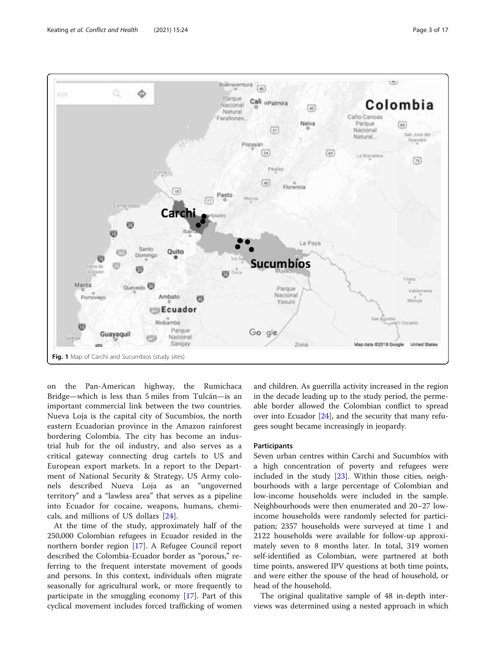<span id="page-2-0"></span>

on the Pan-American highway, the Rumichaca Bridge—which is less than 5 miles from Tulcán—is an important commercial link between the two countries. Nueva Loja is the capital city of Sucumbíos, the north eastern Ecuadorian province in the Amazon rainforest bordering Colombia. The city has become an industrial hub for the oil industry, and also serves as a critical gateway connecting drug cartels to US and European export markets. In a report to the Department of National Security & Strategy, US Army colonels described Nueva Loja as an "ungoverned territory" and a "lawless area" that serves as a pipeline into Ecuador for cocaine, weapons, humans, chemicals, and millions of US dollars [\[24](#page-15-0)].

At the time of the study, approximately half of the 250,000 Colombian refugees in Ecuador resided in the northern border region [[17\]](#page-15-0). A Refugee Council report described the Colombia-Ecuador border as "porous," referring to the frequent interstate movement of goods and persons. In this context, individuals often migrate seasonally for agricultural work, or more frequently to participate in the smuggling economy [\[17](#page-15-0)]. Part of this cyclical movement includes forced trafficking of women and children. As guerrilla activity increased in the region in the decade leading up to the study period, the permeable border allowed the Colombian conflict to spread over into Ecuador  $[24]$  $[24]$  $[24]$ , and the security that many refugees sought became increasingly in jeopardy.

# Participants

Seven urban centres within Carchi and Sucumbíos with a high concentration of poverty and refugees were included in the study [[23\]](#page-15-0). Within those cities, neighbourhoods with a large percentage of Colombian and low-income households were included in the sample. Neighbourhoods were then enumerated and 20–27 lowincome households were randomly selected for participation; 2357 households were surveyed at time 1 and 2122 households were available for follow-up approximately seven to 8 months later. In total, 319 women self-identified as Colombian, were partnered at both time points, answered IPV questions at both time points, and were either the spouse of the head of household, or head of the household.

The original qualitative sample of 48 in-depth interviews was determined using a nested approach in which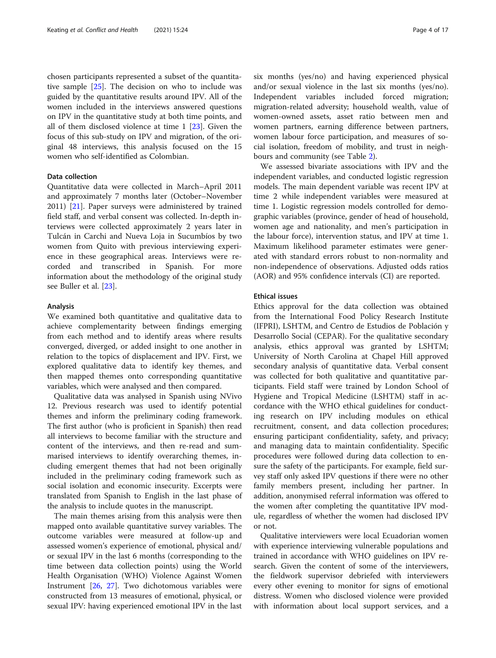chosen participants represented a subset of the quantitative sample [\[25](#page-15-0)]. The decision on who to include was guided by the quantitative results around IPV. All of the women included in the interviews answered questions on IPV in the quantitative study at both time points, and all of them disclosed violence at time 1 [[23](#page-15-0)]. Given the focus of this sub-study on IPV and migration, of the original 48 interviews, this analysis focused on the 15 women who self-identified as Colombian.

# Data collection

Quantitative data were collected in March–April 2011 and approximately 7 months later (October–November 2011) [[21\]](#page-15-0). Paper surveys were administered by trained field staff, and verbal consent was collected. In-depth interviews were collected approximately 2 years later in Tulcán in Carchi and Nueva Loja in Sucumbíos by two women from Quito with previous interviewing experience in these geographical areas. Interviews were recorded and transcribed in Spanish. For more information about the methodology of the original study see Buller et al. [\[23](#page-15-0)].

#### Analysis

We examined both quantitative and qualitative data to achieve complementarity between findings emerging from each method and to identify areas where results converged, diverged, or added insight to one another in relation to the topics of displacement and IPV. First, we explored qualitative data to identify key themes, and then mapped themes onto corresponding quantitative variables, which were analysed and then compared.

Qualitative data was analysed in Spanish using NVivo 12. Previous research was used to identify potential themes and inform the preliminary coding framework. The first author (who is proficient in Spanish) then read all interviews to become familiar with the structure and content of the interviews, and then re-read and summarised interviews to identify overarching themes, including emergent themes that had not been originally included in the preliminary coding framework such as social isolation and economic insecurity. Excerpts were translated from Spanish to English in the last phase of the analysis to include quotes in the manuscript.

The main themes arising from this analysis were then mapped onto available quantitative survey variables. The outcome variables were measured at follow-up and assessed women's experience of emotional, physical and/ or sexual IPV in the last 6 months (corresponding to the time between data collection points) using the World Health Organisation (WHO) Violence Against Women Instrument [[26,](#page-15-0) [27\]](#page-15-0). Two dichotomous variables were constructed from 13 measures of emotional, physical, or sexual IPV: having experienced emotional IPV in the last six months (yes/no) and having experienced physical and/or sexual violence in the last six months (yes/no). Independent variables included forced migration; migration-related adversity; household wealth, value of women-owned assets, asset ratio between men and women partners, earning difference between partners, women labour force participation, and measures of social isolation, freedom of mobility, and trust in neighbours and community (see Table [2\)](#page-5-0).

We assessed bivariate associations with IPV and the independent variables, and conducted logistic regression models. The main dependent variable was recent IPV at time 2 while independent variables were measured at time 1. Logistic regression models controlled for demographic variables (province, gender of head of household, women age and nationality, and men's participation in the labour force), intervention status, and IPV at time 1. Maximum likelihood parameter estimates were generated with standard errors robust to non-normality and non-independence of observations. Adjusted odds ratios (AOR) and 95% confidence intervals (CI) are reported.

#### Ethical issues

Ethics approval for the data collection was obtained from the International Food Policy Research Institute (IFPRI), LSHTM, and Centro de Estudios de Población y Desarrollo Social (CEPAR). For the qualitative secondary analysis, ethics approval was granted by LSHTM; University of North Carolina at Chapel Hill approved secondary analysis of quantitative data. Verbal consent was collected for both qualitative and quantitative participants. Field staff were trained by London School of Hygiene and Tropical Medicine (LSHTM) staff in accordance with the WHO ethical guidelines for conducting research on IPV including modules on ethical recruitment, consent, and data collection procedures; ensuring participant confidentiality, safety, and privacy; and managing data to maintain confidentiality. Specific procedures were followed during data collection to ensure the safety of the participants. For example, field survey staff only asked IPV questions if there were no other family members present, including her partner. In addition, anonymised referral information was offered to the women after completing the quantitative IPV module, regardless of whether the women had disclosed IPV or not.

Qualitative interviewers were local Ecuadorian women with experience interviewing vulnerable populations and trained in accordance with WHO guidelines on IPV research. Given the content of some of the interviewers, the fieldwork supervisor debriefed with interviewers every other evening to monitor for signs of emotional distress. Women who disclosed violence were provided with information about local support services, and a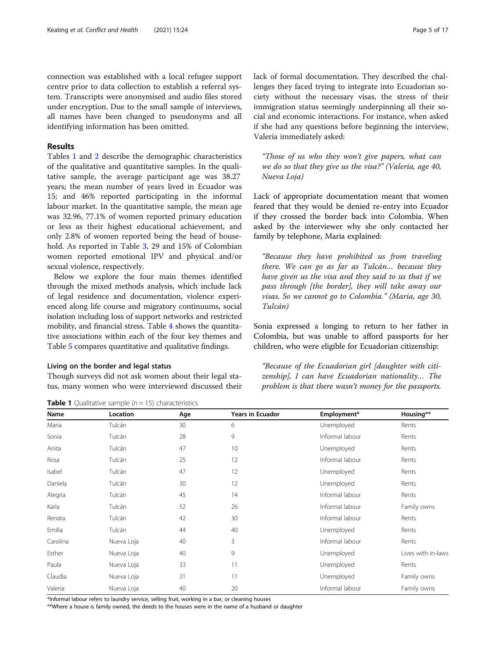connection was established with a local refugee support centre prior to data collection to establish a referral system. Transcripts were anonymised and audio files stored under encryption. Due to the small sample of interviews, all names have been changed to pseudonyms and all identifying information has been omitted.

# Results

Tables 1 and [2](#page-5-0) describe the demographic characteristics of the qualitative and quantitative samples. In the qualitative sample, the average participant age was 38.27 years; the mean number of years lived in Ecuador was 15; and 46% reported participating in the informal labour market. In the quantitative sample, the mean age was 32.96, 77.1% of women reported primary education or less as their highest educational achievement, and only 2.8% of women reported being the head of household. As reported in Table [3](#page-6-0), 29 and 15% of Colombian women reported emotional IPV and physical and/or sexual violence, respectively.

Below we explore the four main themes identified through the mixed methods analysis, which include lack of legal residence and documentation, violence experienced along life course and migratory continuums, social isolation including loss of support networks and restricted mobility, and financial stress. Table [4](#page-7-0) shows the quantitative associations within each of the four key themes and Table [5](#page-8-0) compares quantitative and qualitative findings.

#### Living on the border and legal status

Though surveys did not ask women about their legal status, many women who were interviewed discussed their Lack of appropriate documentation meant that women feared that they would be denied re-entry into Ecuador if they crossed the border back into Colombia. When asked by the interviewer why she only contacted her family by telephone, Maria explained:

"Those of us who they won't give papers, what can we do so that they give us the visa?" (Valeria, age 40,

lack of formal documentation. They described the challenges they faced trying to integrate into Ecuadorian society without the necessary visas, the stress of their immigration status seemingly underpinning all their social and economic interactions. For instance, when asked if she had any questions before beginning the interview,

Valeria immediately asked:

Nueva Loja)

"Because they have prohibited us from traveling there. We can go as far as Tulcán… because they have given us the visa and they said to us that if we pass through [the border], they will take away our visas. So we cannot go to Colombia." (Maria, age 30, Tulcán)

Sonia expressed a longing to return to her father in Colombia, but was unable to afford passports for her children, who were eligible for Ecuadorian citizenship:

"Because of the Ecuadorian girl [daughter with citizenship], I can have Ecuadorian nationality… The problem is that there wasn't money for the passports.

| Name     | Location   | Age | <b>Years in Ecuador</b> | Employment*     | Housing**          |
|----------|------------|-----|-------------------------|-----------------|--------------------|
| Maria    | Tulcán     | 30  | 6                       | Unemployed      | Rents              |
| Sonia    | Tulcán     | 28  | 9                       | Informal labour | Rents              |
| Anita    | Tulcán     | 47  | 10                      | Unemployed      | Rents              |
| Rosa     | Tulcán     | 25  | 12                      | Informal labour | Rents              |
| Isabel   | Tulcán     | 47  | 12                      | Unemployed      | Rents              |
| Daniela  | Tulcán     | 30  | 12                      | Unemployed      | Rents              |
| Alegria  | Tulcán     | 45  | 14                      | Informal labour | Rents              |
| Karla    | Tulcán     | 52  | 26                      | Informal labour | Family owns        |
| Renata   | Tulcán     | 42  | 30                      | Informal labour | Rents              |
| Emilia   | Tulcán     | 44  | 40                      | Unemployed      | Rents              |
| Carolina | Nueva Loja | 40  | 3                       | Informal labour | Rents              |
| Esther   | Nueva Loja | 40  | 9                       | Unemployed      | Lives with in-laws |
| Paula    | Nueva Loja | 33  | 11                      | Unemployed      | Rents              |
| Claudia  | Nueva Loja | 31  | 11                      | Unemployed      | Family owns        |
| Valeria  | Nueva Loja | 40  | 20                      | Informal labour | Family owns        |

**Table 1** Qualitative sample  $(n = 15)$  characteristics

\*Informal labour refers to laundry service, selling fruit, working in a bar, or cleaning houses

\*\*Where a house is family owned, the deeds to the houses were in the name of a husband or daughter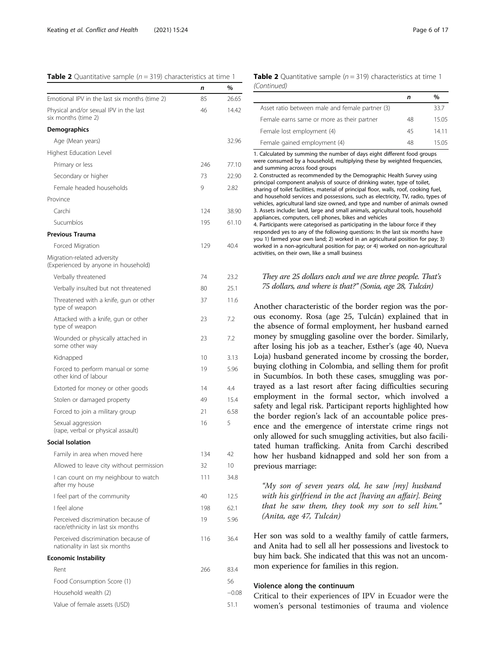#### <span id="page-5-0"></span>**Table 2** Quantitative sample ( $n = 319$ ) characteristics at time 1

|                                                                          | n   | %       |
|--------------------------------------------------------------------------|-----|---------|
| Emotional IPV in the last six months (time 2)                            | 85  | 26.65   |
| Physical and/or sexual IPV in the last<br>six months (time 2)            | 46  | 14.42   |
| Demographics                                                             |     |         |
| Age (Mean years)                                                         |     | 32.96   |
| Highest Education Level                                                  |     |         |
| Primary or less                                                          | 246 | 77.10   |
| Secondary or higher                                                      | 73  | 22.90   |
| Female headed households                                                 | 9   | 2.82    |
| Province                                                                 |     |         |
| Carchi                                                                   | 124 | 38.90   |
| Sucumbíos                                                                | 195 | 61.10   |
| <b>Previous Trauma</b>                                                   |     |         |
| Forced Migration                                                         | 129 | 40.4    |
| Migration-related adversity<br>(Experienced by anyone in household)      |     |         |
| Verbally threatened                                                      | 74  | 23.2    |
| Verbally insulted but not threatened                                     | 80  | 25.1    |
| Threatened with a knife, gun or other<br>type of weapon                  | 37  | 11.6    |
| Attacked with a knife, gun or other<br>type of weapon                    | 23  | 7.2     |
| Wounded or physically attached in<br>some other way                      | 23  | 7.2     |
| Kidnapped                                                                | 10  | 3.13    |
| Forced to perform manual or some<br>other kind of labour                 | 19  | 5.96    |
| Extorted for money or other goods                                        | 14  | 4.4     |
| Stolen or damaged property                                               | 49  | 15.4    |
| Forced to join a military group                                          | 21  | 6.58    |
| Sexual aggression<br>(rape, verbal or physical assault)                  | 16  | 5       |
| <b>Social Isolation</b>                                                  |     |         |
| Family in area when moved here                                           | 134 | 42      |
| Allowed to leave city without permission                                 | 32  | 10      |
| I can count on my neighbour to watch<br>after my house                   | 111 | 34.8    |
| I feel part of the community                                             | 40  | 12.5    |
| I feel alone                                                             | 198 | 62.1    |
| Perceived discrimination because of<br>race/ethnicity in last six months | 19  | 5.96    |
| Perceived discrimination because of<br>nationality in last six months    | 116 | 36.4    |
| <b>Economic Instability</b>                                              |     |         |
| Rent                                                                     | 266 | 83.4    |
| Food Consumption Score (1)                                               |     | 56      |
| Household wealth (2)                                                     |     | $-0.08$ |
| Value of female assets (USD)                                             |     | 51.1    |

### **Table 2** Quantitative sample ( $n = 319$ ) characteristics at time 1 (Continued)

|                                                 | n  | $\%$  |
|-------------------------------------------------|----|-------|
| Asset ratio between male and female partner (3) |    | 33.7  |
| Female earns same or more as their partner      | 48 | 15.05 |
| Female lost employment (4)                      | 45 | 14 11 |
| Female gained employment (4)                    | 48 | 15.05 |

1. Calculated by summing the number of days eight different food groups were consumed by a household, multiplying these by weighted frequencies, and summing across food groups

2. Constructed as recommended by the Demographic Health Survey using principal component analysis of source of drinking water, type of toilet, sharing of toilet facilities, material of principal floor, walls, roof, cooking fuel, and household services and possessions, such as electricity, TV, radio, types of vehicles, agricultural land size owned, and type and number of animals owned 3. Assets include: land, large and small animals, agricultural tools, household appliances, computers, cell phones, bikes and vehicles 4. Participants were categorised as participating in the labour force if they responded yes to any of the following questions: In the last six months have you 1) farmed your own land; 2) worked in an agricultural position for pay; 3) worked in a non-agricultural position for pay; or 4) worked on non-agricultural activities, on their own, like a small business

# They are 25 dollars each and we are three people. That's 75 dollars, and where is that?" (Sonia, age 28, Tulcán)

Another characteristic of the border region was the porous economy. Rosa (age 25, Tulcán) explained that in the absence of formal employment, her husband earned money by smuggling gasoline over the border. Similarly, after losing his job as a teacher, Esther's (age 40, Nueva Loja) husband generated income by crossing the border, buying clothing in Colombia, and selling them for profit in Sucumbíos. In both these cases, smuggling was portrayed as a last resort after facing difficulties securing employment in the formal sector, which involved a safety and legal risk. Participant reports highlighted how the border region's lack of an accountable police presence and the emergence of interstate crime rings not only allowed for such smuggling activities, but also facilitated human trafficking. Anita from Carchi described how her husband kidnapped and sold her son from a previous marriage:

"My son of seven years old, he saw [my] husband with his girlfriend in the act [having an affair]. Being that he saw them, they took my son to sell him." (Anita, age 47, Tulcán)

Her son was sold to a wealthy family of cattle farmers, and Anita had to sell all her possessions and livestock to buy him back. She indicated that this was not an uncommon experience for families in this region.

#### Violence along the continuum

Critical to their experiences of IPV in Ecuador were the women's personal testimonies of trauma and violence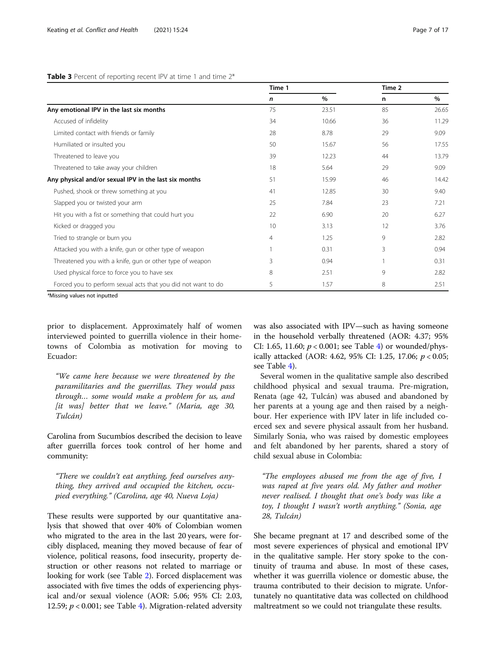### <span id="page-6-0"></span>Table 3 Percent of reporting recent IPV at time 1 and time  $2^*$

|                                                               | Time 1 |       | Time 2 |       |
|---------------------------------------------------------------|--------|-------|--------|-------|
|                                                               | n      | $\%$  | n      | %     |
| Any emotional IPV in the last six months                      | 75     | 23.51 | 85     | 26.65 |
| Accused of infidelity                                         | 34     | 10.66 | 36     | 11.29 |
| Limited contact with friends or family                        | 28     | 8.78  | 29     | 9.09  |
| Humiliated or insulted you                                    | 50     | 15.67 | 56     | 17.55 |
| Threatened to leave you                                       | 39     | 12.23 | 44     | 13.79 |
| Threatened to take away your children                         | 18     | 5.64  | 29     | 9.09  |
| Any physical and/or sexual IPV in the last six months         | 51     | 15.99 | 46     | 14.42 |
| Pushed, shook or threw something at you                       | 41     | 12.85 | 30     | 9.40  |
| Slapped you or twisted your arm                               | 25     | 7.84  | 23     | 7.21  |
| Hit you with a fist or something that could hurt you          | 22     | 6.90  | 20     | 6.27  |
| Kicked or dragged you                                         | 10     | 3.13  | 12     | 3.76  |
| Tried to strangle or burn you                                 | 4      | 1.25  | 9      | 2.82  |
| Attacked you with a knife, gun or other type of weapon        |        | 0.31  | 3      | 0.94  |
| Threatened you with a knife, gun or other type of weapon      | 3      | 0.94  |        | 0.31  |
| Used physical force to force you to have sex                  | 8      | 2.51  | 9      | 2.82  |
| Forced you to perform sexual acts that you did not want to do | 5      | 1.57  | 8      | 2.51  |

prior to displacement. Approximately half of women interviewed pointed to guerrilla violence in their hometowns of Colombia as motivation for moving to Ecuador:

"We came here because we were threatened by the paramilitaries and the guerrillas. They would pass through… some would make a problem for us, and  $[$ it was $]$  better that we leave." (Maria, age 30, Tulcán)

Carolina from Sucumbíos described the decision to leave after guerrilla forces took control of her home and community:

"There we couldn't eat anything, feed ourselves anything, they arrived and occupied the kitchen, occupied everything." (Carolina, age 40, Nueva Loja)

These results were supported by our quantitative analysis that showed that over 40% of Colombian women who migrated to the area in the last 20 years, were forcibly displaced, meaning they moved because of fear of violence, political reasons, food insecurity, property destruction or other reasons not related to marriage or looking for work (see Table [2\)](#page-5-0). Forced displacement was associated with five times the odds of experiencing physical and/or sexual violence (AOR: 5.06; 95% CI: 2.03, 12.59;  $p < 0.001$ ; see Table [4](#page-7-0)). Migration-related adversity was also associated with IPV—such as having someone in the household verbally threatened (AOR: 4.37; 95% CI: 1.65, 11.60;  $p < 0.001$ ; see Table [4\)](#page-7-0) or wounded/physically attacked (AOR: 4.62, 95% CI: 1.25, 17.06;  $p < 0.05$ ; see Table [4](#page-7-0)).

Several women in the qualitative sample also described childhood physical and sexual trauma. Pre-migration, Renata (age 42, Tulcán) was abused and abandoned by her parents at a young age and then raised by a neighbour. Her experience with IPV later in life included coerced sex and severe physical assault from her husband. Similarly Sonia, who was raised by domestic employees and felt abandoned by her parents, shared a story of child sexual abuse in Colombia:

"The employees abused me from the age of five, I was raped at five years old. My father and mother never realised. I thought that one's body was like a toy, I thought I wasn't worth anything." (Sonia, age 28, Tulcán)

She became pregnant at 17 and described some of the most severe experiences of physical and emotional IPV in the qualitative sample. Her story spoke to the continuity of trauma and abuse. In most of these cases, whether it was guerrilla violence or domestic abuse, the trauma contributed to their decision to migrate. Unfortunately no quantitative data was collected on childhood maltreatment so we could not triangulate these results.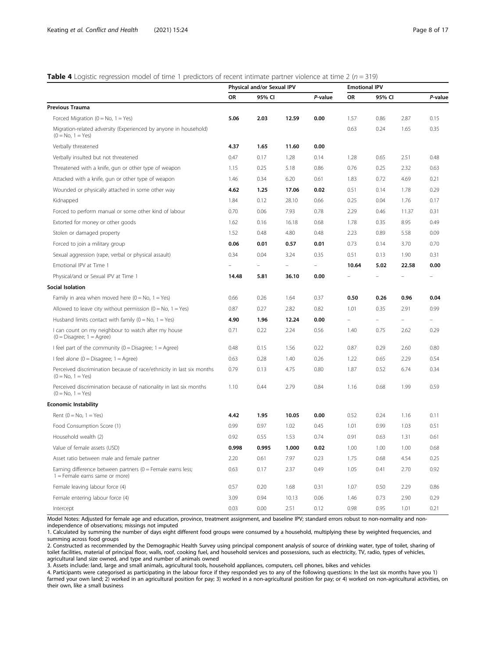### <span id="page-7-0"></span>**Table 4** Logistic regression model of time 1 predictors of recent intimate partner violence at time 2 ( $n = 319$ )

|                                                                                                  | Physical and/or Sexual IPV |        | <b>Emotional IPV</b> |         |                          |                |                          |         |
|--------------------------------------------------------------------------------------------------|----------------------------|--------|----------------------|---------|--------------------------|----------------|--------------------------|---------|
|                                                                                                  | OR                         | 95% CI |                      | P-value | <b>OR</b>                | 95% CI         |                          | P-value |
| Previous Trauma                                                                                  |                            |        |                      |         |                          |                |                          |         |
| Forced Migration ( $0 = No$ , $1 = Yes$ )                                                        | 5.06                       | 2.03   | 12.59                | 0.00    | 1.57                     | 0.86           | 2.87                     | 0.15    |
| Migration-related adversity (Experienced by anyone in household)<br>$(0 = No, 1 = Yes)$          |                            |        |                      |         | 0.63                     | 0.24           | 1.65                     | 0.35    |
| Verbally threatened                                                                              | 4.37                       | 1.65   | 11.60                | 0.00    |                          |                |                          |         |
| Verbally insulted but not threatened                                                             | 0.47                       | 0.17   | 1.28                 | 0.14    | 1.28                     | 0.65           | 2.51                     | 0.48    |
| Threatened with a knife, gun or other type of weapon                                             | 1.15                       | 0.25   | 5.18                 | 0.86    | 0.76                     | 0.25           | 2.32                     | 0.63    |
| Attacked with a knife, gun or other type of weapon                                               | 1.46                       | 0.34   | 6.20                 | 0.61    | 1.83                     | 0.72           | 4.69                     | 0.21    |
| Wounded or physically attached in some other way                                                 | 4.62                       | 1.25   | 17.06                | 0.02    | 0.51                     | 0.14           | 1.78                     | 0.29    |
| Kidnapped                                                                                        | 1.84                       | 0.12   | 28.10                | 0.66    | 0.25                     | 0.04           | 1.76                     | 0.17    |
| Forced to perform manual or some other kind of labour                                            | 0.70                       | 0.06   | 7.93                 | 0.78    | 2.29                     | 0.46           | 11.37                    | 0.31    |
| Extorted for money or other goods                                                                | 1.62                       | 0.16   | 16.18                | 0.68    | 1.78                     | 0.35           | 8.95                     | 0.49    |
| Stolen or damaged property                                                                       | 1.52                       | 0.48   | 4.80                 | 0.48    | 2.23                     | 0.89           | 5.58                     | 0.09    |
| Forced to join a military group                                                                  | 0.06                       | 0.01   | 0.57                 | 0.01    | 0.73                     | 0.14           | 3.70                     | 0.70    |
| Sexual aggression (rape, verbal or physical assault)                                             | 0.34                       | 0.04   | 3.24                 | 0.35    | 0.51                     | 0.13           | 1.90                     | 0.31    |
| Emotional IPV at Time 1                                                                          |                            |        |                      |         | 10.64                    | 5.02           | 22.58                    | 0.00    |
| Physical/and or Sexual IPV at Time 1                                                             | 14.48                      | 5.81   | 36.10                | 0.00    |                          |                |                          |         |
| Social Isolation                                                                                 |                            |        |                      |         |                          |                |                          |         |
| Family in area when moved here $(0 = No, 1 = Yes)$                                               | 0.66                       | 0.26   | 1.64                 | 0.37    | 0.50                     | 0.26           | 0.96                     | 0.04    |
| Allowed to leave city without permission $(0 = No, 1 = Yes)$                                     | 0.87                       | 0.27   | 2.82                 | 0.82    | 1.01                     | 0.35           | 2.91                     | 0.99    |
| Husband limits contact with family $(0 = No, 1 = Yes)$                                           | 4.90                       | 1.96   | 12.24                | 0.00    | $\overline{\phantom{0}}$ | $\overline{a}$ | $\overline{\phantom{0}}$ |         |
| I can count on my neighbour to watch after my house<br>$(0 = Disagree; 1 = Agree)$               | 0.71                       | 0.22   | 2.24                 | 0.56    | 1.40                     | 0.75           | 2.62                     | 0.29    |
| I feel part of the community $(0 = Disagree; 1 = Agree)$                                         | 0.48                       | 0.15   | 1.56                 | 0.22    | 0.87                     | 0.29           | 2.60                     | 0.80    |
| I feel alone ( $0 = Disagree$ ; 1 = Agree)                                                       | 0.63                       | 0.28   | 1.40                 | 0.26    | 1.22                     | 0.65           | 2.29                     | 0.54    |
| Perceived discrimination because of race/ethnicity in last six months<br>$(0 = No, 1 = Yes)$     | 0.79                       | 0.13   | 4.75                 | 0.80    | 1.87                     | 0.52           | 6.74                     | 0.34    |
| Perceived discrimination because of nationality in last six months<br>$(0 = No, 1 = Yes)$        | 1.10                       | 0.44   | 2.79                 | 0.84    | 1.16                     | 0.68           | 1.99                     | 0.59    |
| <b>Economic Instability</b>                                                                      |                            |        |                      |         |                          |                |                          |         |
| Rent ( $0 = No$ , $1 = Yes$ )                                                                    | 4.42                       | 1.95   | 10.05                | 0.00    | 0.52                     | 0.24           | 1.16                     | 0.11    |
| Food Consumption Score (1)                                                                       | 0.99                       | 0.97   | 1.02                 | 0.45    | 1.01                     | 0.99           | 1.03                     | 0.51    |
| Household wealth (2)                                                                             | 0.92                       | 0.55   | 1.53                 | 0.74    | 0.91                     | 0.63           | 1.31                     | 0.61    |
| Value of female assets (USD)                                                                     | 0.998                      | 0.995  | 1.000                | 0.02    | 1.00                     | 1.00           | 1.00                     | 0.68    |
| Asset ratio between male and female partner                                                      | 2.20                       | 0.61   | 7.97                 | 0.23    | 1.75                     | 0.68           | 4.54                     | 0.25    |
| Earning difference between partners ( $0 =$ Female earns less;<br>1 = Female earns same or more) | 0.63                       | 0.17   | 2.37                 | 0.49    | 1.05                     | 0.41           | 2.70                     | 0.92    |
| Female leaving labour force (4)                                                                  | 0.57                       | 0.20   | 1.68                 | 0.31    | 1.07                     | 0.50           | 2.29                     | 0.86    |
| Female entering labour force (4)                                                                 | 3.09                       | 0.94   | 10.13                | 0.06    | 1.46                     | 0.73           | 2.90                     | 0.29    |
| Intercept                                                                                        | 0.03                       | 0.00   | 2.51                 | 0.12    | 0.98                     | 0.95           | 1.01                     | 0.21    |

Model Notes: Adjusted for female age and education, province, treatment assignment, and baseline IPV; standard errors robust to non-normality and nonindependence of observations; missings not imputed

1. Calculated by summing the number of days eight different food groups were consumed by a household, multiplying these by weighted frequencies, and summing across food groups

2. Constructed as recommended by the Demographic Health Survey using principal component analysis of source of drinking water, type of toilet, sharing of toilet facilities, material of principal floor, walls, roof, cooking fuel, and household services and possessions, such as electricity, TV, radio, types of vehicles, agricultural land size owned, and type and number of animals owned

3. Assets include: land, large and small animals, agricultural tools, household appliances, computers, cell phones, bikes and vehicles

4. Participants were categorised as participating in the labour force if they responded yes to any of the following questions: In the last six months have you 1) farmed your own land; 2) worked in an agricultural position for pay; 3) worked in a non-agricultural position for pay; or 4) worked on non-agricultural activities, on their own, like a small business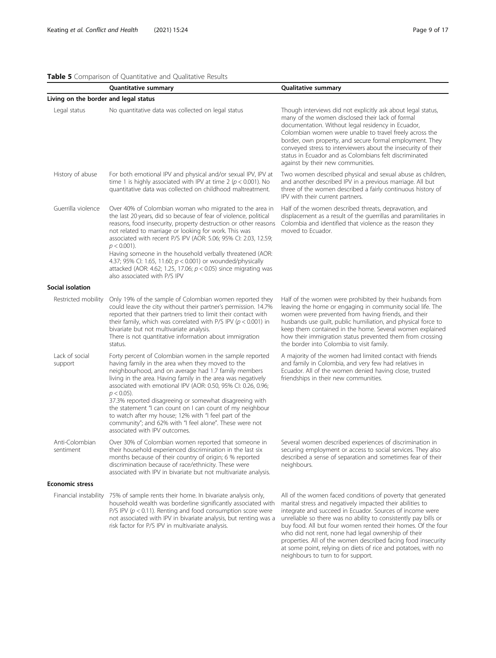# <span id="page-8-0"></span>Table 5 Comparison of Quantitative and Qualitative Results

|                                       | <b>Quantitative summary</b>                                                                                                                                                                                                                                                                                                                                                                                                                                                                                                                                                                        | <b>Qualitative summary</b>                                                                                                                                                                                                                                                                                                                                                                                                                                    |
|---------------------------------------|----------------------------------------------------------------------------------------------------------------------------------------------------------------------------------------------------------------------------------------------------------------------------------------------------------------------------------------------------------------------------------------------------------------------------------------------------------------------------------------------------------------------------------------------------------------------------------------------------|---------------------------------------------------------------------------------------------------------------------------------------------------------------------------------------------------------------------------------------------------------------------------------------------------------------------------------------------------------------------------------------------------------------------------------------------------------------|
| Living on the border and legal status |                                                                                                                                                                                                                                                                                                                                                                                                                                                                                                                                                                                                    |                                                                                                                                                                                                                                                                                                                                                                                                                                                               |
| Legal status                          | No quantitative data was collected on legal status                                                                                                                                                                                                                                                                                                                                                                                                                                                                                                                                                 | Though interviews did not explicitly ask about legal status,<br>many of the women disclosed their lack of formal<br>documentation. Without legal residency in Ecuador,<br>Colombian women were unable to travel freely across the<br>border, own property, and secure formal employment. They<br>conveyed stress to interviewers about the insecurity of their<br>status in Ecuador and as Colombians felt discriminated<br>against by their new communities. |
| History of abuse                      | For both emotional IPV and physical and/or sexual IPV, IPV at<br>time 1 is highly associated with IPV at time 2 ( $p < 0.001$ ). No<br>quantitative data was collected on childhood maltreatment.                                                                                                                                                                                                                                                                                                                                                                                                  | Two women described physical and sexual abuse as children,<br>and another described IPV in a previous marriage. All but<br>three of the women described a fairly continuous history of<br>IPV with their current partners.                                                                                                                                                                                                                                    |
| Guerrilla violence                    | Over 40% of Colombian woman who migrated to the area in<br>the last 20 years, did so because of fear of violence, political<br>reasons, food insecurity, property destruction or other reasons<br>not related to marriage or looking for work. This was<br>associated with recent P/S IPV (AOR: 5.06; 95% CI: 2.03, 12.59;<br>$p < 0.001$ ).<br>Having someone in the household verbally threatened (AOR:<br>4.37; 95% CI: 1.65, 11.60; $p < 0.001$ ) or wounded/physically<br>attacked (AOR: 4.62; 1.25, 17.06; $p < 0.05$ ) since migrating was<br>also associated with P/S IPV                  | Half of the women described threats, depravation, and<br>displacement as a result of the guerrillas and paramilitaries in<br>Colombia and identified that violence as the reason they<br>moved to Ecuador.                                                                                                                                                                                                                                                    |
| Social isolation                      |                                                                                                                                                                                                                                                                                                                                                                                                                                                                                                                                                                                                    |                                                                                                                                                                                                                                                                                                                                                                                                                                                               |
| Restricted mobility                   | Only 19% of the sample of Colombian women reported they<br>could leave the city without their partner's permission. 14.7%<br>reported that their partners tried to limit their contact with<br>their family, which was correlated with P/S IPV ( $p < 0.001$ ) in<br>bivariate but not multivariate analysis.<br>There is not quantitative information about immigration<br>status.                                                                                                                                                                                                                | Half of the women were prohibited by their husbands from<br>leaving the home or engaging in community social life. The<br>women were prevented from having friends, and their<br>husbands use guilt, public humiliation, and physical force to<br>keep them contained in the home. Several women explained<br>how their immigration status prevented them from crossing<br>the border into Colombia to visit family.                                          |
| Lack of social<br>support             | Forty percent of Colombian women in the sample reported<br>having family in the area when they moved to the<br>neighbourhood, and on average had 1.7 family members<br>living in the area. Having family in the area was negatively<br>associated with emotional IPV (AOR: 0.50, 95% CI: 0.26, 0.96;<br>$p < 0.05$ ).<br>37.3% reported disagreeing or somewhat disagreeing with<br>the statement "I can count on I can count of my neighbour<br>to watch after my house; 12% with "I feel part of the<br>community"; and 62% with "I feel alone". These were not<br>associated with IPV outcomes. | A majority of the women had limited contact with friends<br>and family in Colombia, and very few had relatives in<br>Ecuador. All of the women denied having close, trusted<br>friendships in their new communities.                                                                                                                                                                                                                                          |
| Anti-Colombian<br>sentiment           | Over 30% of Colombian women reported that someone in<br>their household experienced discrimination in the last six<br>months because of their country of origin; 6 % reported<br>discrimination because of race/ethnicity. These were<br>associated with IPV in bivariate but not multivariate analysis.                                                                                                                                                                                                                                                                                           | Several women described experiences of discrimination in<br>securing employment or access to social services. They also<br>described a sense of separation and sometimes fear of their<br>neighbours.                                                                                                                                                                                                                                                         |
| <b>Economic stress</b>                |                                                                                                                                                                                                                                                                                                                                                                                                                                                                                                                                                                                                    |                                                                                                                                                                                                                                                                                                                                                                                                                                                               |
| Financial instability                 | 75% of sample rents their home. In bivariate analysis only,<br>household wealth was borderline significantly associated with<br>P/S IPV ( $p < 0.11$ ). Renting and food consumption score were<br>not associated with IPV in bivariate analysis, but renting was a<br>risk factor for P/S IPV in multivariate analysis.                                                                                                                                                                                                                                                                           | All of the women faced conditions of poverty that generated<br>marital stress and negatively impacted their abilities to<br>integrate and succeed in Ecuador. Sources of income were<br>unreliable so there was no ability to consistently pay bills or<br>buy food. All but four women rented their homes. Of the four                                                                                                                                       |

who did not rent, none had legal ownership of their properties. All of the women described facing food insecurity at some point, relying on diets of rice and potatoes, with no

neighbours to turn to for support.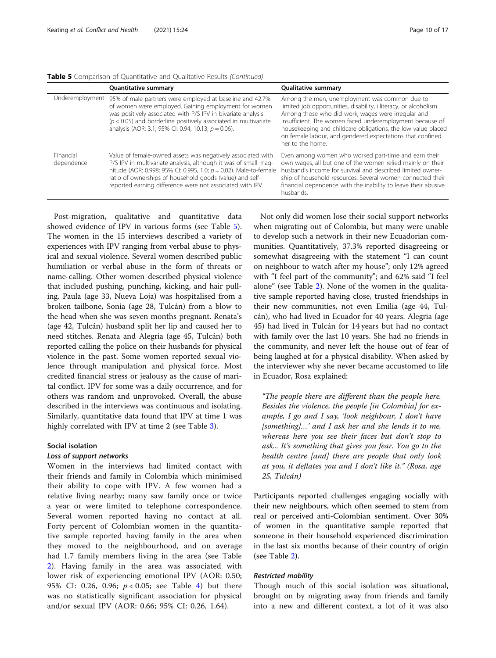|                         | <b>Quantitative summary</b>                                                                                                                                                                                                                                                                                                     | <b>Qualitative summary</b>                                                                                                                                                                                                                                                                                                                                                            |
|-------------------------|---------------------------------------------------------------------------------------------------------------------------------------------------------------------------------------------------------------------------------------------------------------------------------------------------------------------------------|---------------------------------------------------------------------------------------------------------------------------------------------------------------------------------------------------------------------------------------------------------------------------------------------------------------------------------------------------------------------------------------|
|                         | Underemployment 95% of male partners were employed at baseline and 42.7%<br>of women were employed. Gaining employment for women<br>was positively associated with P/S IPV in bivariate analysis<br>( $p$ < 0.05) and borderline positively associated in multivariate<br>analysis (AOR: 3.1; 95% CI: 0.94, 10.13; p = 0.06).   | Among the men, unemployment was common due to<br>limited job opportunities, disability, illiteracy, or alcoholism.<br>Among those who did work, wages were irregular and<br>insufficient. The women faced underemployment because of<br>housekeeping and childcare obligations, the low value placed<br>on female labour, and gendered expectations that confined<br>her to the home. |
| Financial<br>dependence | Value of female-owned assets was negatively associated with<br>P/S IPV in multivariate analysis, although it was of small mag-<br>nitude (AOR: 0.998; 95% CI: 0.995, 1.0; $p = 0.02$ ). Male-to-female<br>ratio of ownerships of household goods (value) and self-<br>reported earning difference were not associated with IPV. | Even among women who worked part-time and earn their<br>own wages, all but one of the women relied mainly on their<br>husband's income for survival and described limited owner-<br>ship of household resources. Several women connected their<br>financial dependence with the inability to leave their abusive<br>husbands.                                                         |

Table 5 Comparison of Quantitative and Qualitative Results (Continued)

Post-migration, qualitative and quantitative data showed evidence of IPV in various forms (see Table [5](#page-8-0)). The women in the 15 interviews described a variety of experiences with IPV ranging from verbal abuse to physical and sexual violence. Several women described public humiliation or verbal abuse in the form of threats or name-calling. Other women described physical violence that included pushing, punching, kicking, and hair pulling. Paula (age 33, Nueva Loja) was hospitalised from a broken tailbone, Sonia (age 28, Tulcán) from a blow to the head when she was seven months pregnant. Renata's (age 42, Tulcán) husband split her lip and caused her to need stitches. Renata and Alegria (age 45, Tulcán) both reported calling the police on their husbands for physical violence in the past. Some women reported sexual violence through manipulation and physical force. Most credited financial stress or jealousy as the cause of marital conflict. IPV for some was a daily occurrence, and for others was random and unprovoked. Overall, the abuse described in the interviews was continuous and isolating. Similarly, quantitative data found that IPV at time 1 was highly correlated with IPV at time 2 (see Table [3\)](#page-6-0).

# Social isolation

#### Loss of support networks

Women in the interviews had limited contact with their friends and family in Colombia which minimised their ability to cope with IPV. A few women had a relative living nearby; many saw family once or twice a year or were limited to telephone correspondence. Several women reported having no contact at all. Forty percent of Colombian women in the quantitative sample reported having family in the area when they moved to the neighbourhood, and on average had 1.7 family members living in the area (see Table [2\)](#page-5-0). Having family in the area was associated with lower risk of experiencing emotional IPV (AOR: 0.50; 95% CI: 0.26, 0.96;  $p < 0.05$ ; see Table [4\)](#page-7-0) but there was no statistically significant association for physical and/or sexual IPV (AOR: 0.66; 95% CI: 0.26, 1.64).

Not only did women lose their social support networks when migrating out of Colombia, but many were unable to develop such a network in their new Ecuadorian communities. Quantitatively, 37.3% reported disagreeing or somewhat disagreeing with the statement "I can count on neighbour to watch after my house"; only 12% agreed with "I feel part of the community"; and 62% said "I feel alone" (see Table [2](#page-5-0)). None of the women in the qualitative sample reported having close, trusted friendships in their new communities, not even Emilia (age 44, Tulcán), who had lived in Ecuador for 40 years. Alegria (age 45) had lived in Tulcán for 14 years but had no contact with family over the last 10 years. She had no friends in the community, and never left the house out of fear of being laughed at for a physical disability. When asked by the interviewer why she never became accustomed to life in Ecuador, Rosa explained:

"The people there are different than the people here. Besides the violence, the people [in Colombia] for example, I go and I say, 'look neighbour, I don't have [something]…' and I ask her and she lends it to me, whereas here you see their faces but don't stop to ask... It's something that gives you fear. You go to the health centre [and] there are people that only look at you, it deflates you and I don't like it." (Rosa, age 25, Tulcán)

Participants reported challenges engaging socially with their new neighbours, which often seemed to stem from real or perceived anti-Colombian sentiment. Over 30% of women in the quantitative sample reported that someone in their household experienced discrimination in the last six months because of their country of origin (see Table [2](#page-5-0)).

# Restricted mobility

Though much of this social isolation was situational, brought on by migrating away from friends and family into a new and different context, a lot of it was also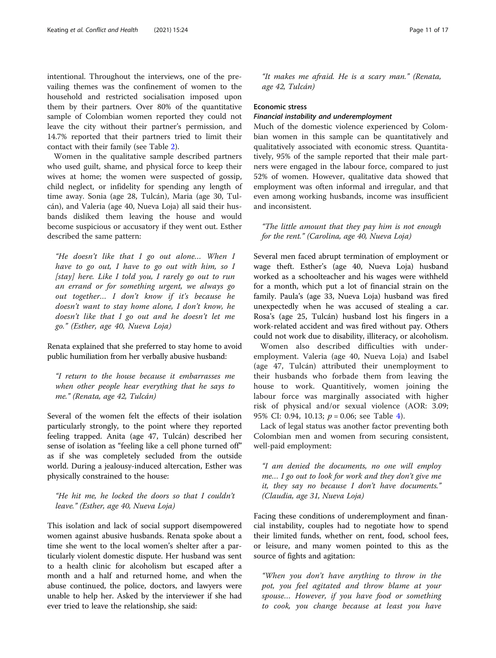intentional. Throughout the interviews, one of the prevailing themes was the confinement of women to the household and restricted socialisation imposed upon them by their partners. Over 80% of the quantitative sample of Colombian women reported they could not leave the city without their partner's permission, and 14.7% reported that their partners tried to limit their contact with their family (see Table [2](#page-5-0)).

Women in the qualitative sample described partners who used guilt, shame, and physical force to keep their wives at home; the women were suspected of gossip, child neglect, or infidelity for spending any length of time away. Sonia (age 28, Tulcán), Maria (age 30, Tulcán), and Valeria (age 40, Nueva Loja) all said their husbands disliked them leaving the house and would become suspicious or accusatory if they went out. Esther described the same pattern:

"He doesn't like that I go out alone… When I have to go out, I have to go out with him, so I [stay] here. Like I told you, I rarely go out to run an errand or for something urgent, we always go out together… I don't know if it's because he doesn't want to stay home alone, I don't know, he doesn't like that I go out and he doesn't let me go." (Esther, age 40, Nueva Loja)

Renata explained that she preferred to stay home to avoid public humiliation from her verbally abusive husband:

"I return to the house because it embarrasses me when other people hear everything that he says to me." (Renata, age 42, Tulcán)

Several of the women felt the effects of their isolation particularly strongly, to the point where they reported feeling trapped. Anita (age 47, Tulcán) described her sense of isolation as "feeling like a cell phone turned off" as if she was completely secluded from the outside world. During a jealousy-induced altercation, Esther was physically constrained to the house:

"He hit me, he locked the doors so that I couldn't leave." (Esther, age 40, Nueva Loja)

This isolation and lack of social support disempowered women against abusive husbands. Renata spoke about a time she went to the local women's shelter after a particularly violent domestic dispute. Her husband was sent to a health clinic for alcoholism but escaped after a month and a half and returned home, and when the abuse continued, the police, doctors, and lawyers were unable to help her. Asked by the interviewer if she had ever tried to leave the relationship, she said:

"It makes me afraid. He is a scary man." (Renata, age 42, Tulcán)

#### Economic stress

# Financial instability and underemployment

Much of the domestic violence experienced by Colombian women in this sample can be quantitatively and qualitatively associated with economic stress. Quantitatively, 95% of the sample reported that their male partners were engaged in the labour force, compared to just 52% of women. However, qualitative data showed that employment was often informal and irregular, and that even among working husbands, income was insufficient and inconsistent.

"The little amount that they pay him is not enough for the rent." (Carolina, age 40, Nueva Loja)

Several men faced abrupt termination of employment or wage theft. Esther's (age 40, Nueva Loja) husband worked as a schoolteacher and his wages were withheld for a month, which put a lot of financial strain on the family. Paula's (age 33, Nueva Loja) husband was fired unexpectedly when he was accused of stealing a car. Rosa's (age 25, Tulcán) husband lost his fingers in a work-related accident and was fired without pay. Others could not work due to disability, illiteracy, or alcoholism.

Women also described difficulties with underemployment. Valeria (age 40, Nueva Loja) and Isabel (age 47, Tulcán) attributed their unemployment to their husbands who forbade them from leaving the house to work. Quantitively, women joining the labour force was marginally associated with higher risk of physical and/or sexual violence (AOR: 3.09; 95% CI: 0.9[4](#page-7-0), 10.13;  $p = 0.06$ ; see Table 4).

Lack of legal status was another factor preventing both Colombian men and women from securing consistent, well-paid employment:

"I am denied the documents, no one will employ me… I go out to look for work and they don't give me it, they say no because I don't have documents." (Claudia, age 31, Nueva Loja)

Facing these conditions of underemployment and financial instability, couples had to negotiate how to spend their limited funds, whether on rent, food, school fees, or leisure, and many women pointed to this as the source of fights and agitation:

"When you don't have anything to throw in the pot, you feel agitated and throw blame at your spouse… However, if you have food or something to cook, you change because at least you have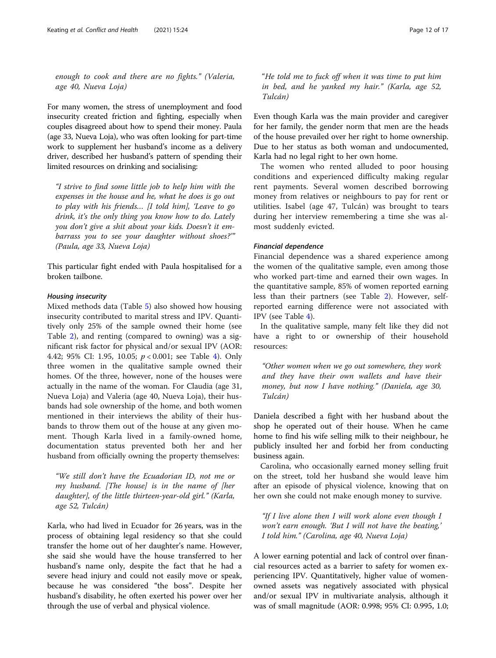enough to cook and there are no fights." (Valeria, age 40, Nueva Loja)

For many women, the stress of unemployment and food insecurity created friction and fighting, especially when couples disagreed about how to spend their money. Paula (age 33, Nueva Loja), who was often looking for part-time work to supplement her husband's income as a delivery driver, described her husband's pattern of spending their limited resources on drinking and socialising:

"I strive to find some little job to help him with the expenses in the house and he, what he does is go out to play with his friends… [I told him], 'Leave to go drink, it's the only thing you know how to do. Lately you don't give a shit about your kids. Doesn't it embarrass you to see your daughter without shoes?'" (Paula, age 33, Nueva Loja)

This particular fight ended with Paula hospitalised for a broken tailbone.

# Housing insecurity

Mixed methods data (Table [5\)](#page-8-0) also showed how housing insecurity contributed to marital stress and IPV. Quantitively only 25% of the sample owned their home (see Table [2\)](#page-5-0), and renting (compared to owning) was a significant risk factor for physical and/or sexual IPV (AOR: 4.42; 95% CI: 1.95, 10.05; p < 0.001; see Table [4\)](#page-7-0). Only three women in the qualitative sample owned their homes. Of the three, however, none of the houses were actually in the name of the woman. For Claudia (age 31, Nueva Loja) and Valeria (age 40, Nueva Loja), their husbands had sole ownership of the home, and both women mentioned in their interviews the ability of their husbands to throw them out of the house at any given moment. Though Karla lived in a family-owned home, documentation status prevented both her and her husband from officially owning the property themselves:

"We still don't have the Ecuadorian ID, not me or my husband. [The house] is in the name of [her daughter], of the little thirteen-year-old girl." (Karla, age 52, Tulcán)

Karla, who had lived in Ecuador for 26 years, was in the process of obtaining legal residency so that she could transfer the home out of her daughter's name. However, she said she would have the house transferred to her husband's name only, despite the fact that he had a severe head injury and could not easily move or speak, because he was considered "the boss". Despite her husband's disability, he often exerted his power over her through the use of verbal and physical violence.

"He told me to fuck off when it was time to put him in bed, and he yanked my hair." (Karla, age 52, Tulcán)

Even though Karla was the main provider and caregiver for her family, the gender norm that men are the heads of the house prevailed over her right to home ownership. Due to her status as both woman and undocumented, Karla had no legal right to her own home.

The women who rented alluded to poor housing conditions and experienced difficulty making regular rent payments. Several women described borrowing money from relatives or neighbours to pay for rent or utilities. Isabel (age 47, Tulcán) was brought to tears during her interview remembering a time she was almost suddenly evicted.

# Financial dependence

Financial dependence was a shared experience among the women of the qualitative sample, even among those who worked part-time and earned their own wages. In the quantitative sample, 85% of women reported earning less than their partners (see Table [2\)](#page-5-0). However, selfreported earning difference were not associated with IPV (see Table [4\)](#page-7-0).

In the qualitative sample, many felt like they did not have a right to or ownership of their household resources:

"Other women when we go out somewhere, they work and they have their own wallets and have their money, but now I have nothing." (Daniela, age 30, Tulcán)

Daniela described a fight with her husband about the shop he operated out of their house. When he came home to find his wife selling milk to their neighbour, he publicly insulted her and forbid her from conducting business again.

Carolina, who occasionally earned money selling fruit on the street, told her husband she would leave him after an episode of physical violence, knowing that on her own she could not make enough money to survive.

"If I live alone then I will work alone even though I won't earn enough. 'But I will not have the beating,' I told him." (Carolina, age 40, Nueva Loja)

A lower earning potential and lack of control over financial resources acted as a barrier to safety for women experiencing IPV. Quantitatively, higher value of womenowned assets was negatively associated with physical and/or sexual IPV in multivariate analysis, although it was of small magnitude (AOR: 0.998; 95% CI: 0.995, 1.0;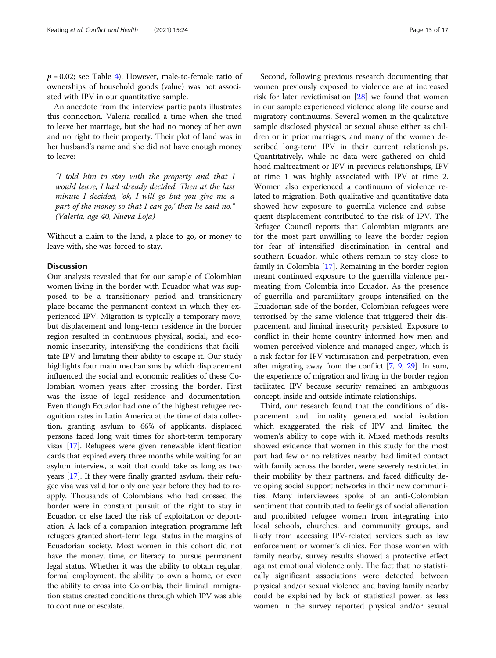$p = 0.02$ ; see Table [4](#page-7-0)). However, male-to-female ratio of ownerships of household goods (value) was not associated with IPV in our quantitative sample.

An anecdote from the interview participants illustrates this connection. Valeria recalled a time when she tried to leave her marriage, but she had no money of her own and no right to their property. Their plot of land was in her husband's name and she did not have enough money to leave:

"I told him to stay with the property and that I would leave, I had already decided. Then at the last minute I decided, 'ok, I will go but you give me a part of the money so that I can go,' then he said no." (Valeria, age 40, Nueva Loja)

Without a claim to the land, a place to go, or money to leave with, she was forced to stay.

#### **Discussion**

Our analysis revealed that for our sample of Colombian women living in the border with Ecuador what was supposed to be a transitionary period and transitionary place became the permanent context in which they experienced IPV. Migration is typically a temporary move, but displacement and long-term residence in the border region resulted in continuous physical, social, and economic insecurity, intensifying the conditions that facilitate IPV and limiting their ability to escape it. Our study highlights four main mechanisms by which displacement influenced the social and economic realities of these Colombian women years after crossing the border. First was the issue of legal residence and documentation. Even though Ecuador had one of the highest refugee recognition rates in Latin America at the time of data collection, granting asylum to 66% of applicants, displaced persons faced long wait times for short-term temporary visas [\[17\]](#page-15-0). Refugees were given renewable identification cards that expired every three months while waiting for an asylum interview, a wait that could take as long as two years [\[17](#page-15-0)]. If they were finally granted asylum, their refugee visa was valid for only one year before they had to reapply. Thousands of Colombians who had crossed the border were in constant pursuit of the right to stay in Ecuador, or else faced the risk of exploitation or deportation. A lack of a companion integration programme left refugees granted short-term legal status in the margins of Ecuadorian society. Most women in this cohort did not have the money, time, or literacy to pursue permanent legal status. Whether it was the ability to obtain regular, formal employment, the ability to own a home, or even the ability to cross into Colombia, their liminal immigration status created conditions through which IPV was able to continue or escalate.

Second, following previous research documenting that women previously exposed to violence are at increased risk for later revictimisation [[28\]](#page-15-0) we found that women in our sample experienced violence along life course and migratory continuums. Several women in the qualitative sample disclosed physical or sexual abuse either as children or in prior marriages, and many of the women described long-term IPV in their current relationships. Quantitatively, while no data were gathered on childhood maltreatment or IPV in previous relationships, IPV at time 1 was highly associated with IPV at time 2. Women also experienced a continuum of violence related to migration. Both qualitative and quantitative data showed how exposure to guerrilla violence and subsequent displacement contributed to the risk of IPV. The Refugee Council reports that Colombian migrants are for the most part unwilling to leave the border region for fear of intensified discrimination in central and southern Ecuador, while others remain to stay close to family in Colombia [[17\]](#page-15-0). Remaining in the border region meant continued exposure to the guerrilla violence permeating from Colombia into Ecuador. As the presence of guerrilla and paramilitary groups intensified on the Ecuadorian side of the border, Colombian refugees were terrorised by the same violence that triggered their displacement, and liminal insecurity persisted. Exposure to conflict in their home country informed how men and women perceived violence and managed anger, which is a risk factor for IPV victimisation and perpetration, even after migrating away from the conflict [\[7,](#page-15-0) [9,](#page-15-0) [29](#page-15-0)]. In sum, the experience of migration and living in the border region facilitated IPV because security remained an ambiguous concept, inside and outside intimate relationships.

Third, our research found that the conditions of displacement and liminality generated social isolation which exaggerated the risk of IPV and limited the women's ability to cope with it. Mixed methods results showed evidence that women in this study for the most part had few or no relatives nearby, had limited contact with family across the border, were severely restricted in their mobility by their partners, and faced difficulty developing social support networks in their new communities. Many interviewees spoke of an anti-Colombian sentiment that contributed to feelings of social alienation and prohibited refugee women from integrating into local schools, churches, and community groups, and likely from accessing IPV-related services such as law enforcement or women's clinics. For those women with family nearby, survey results showed a protective effect against emotional violence only. The fact that no statistically significant associations were detected between physical and/or sexual violence and having family nearby could be explained by lack of statistical power, as less women in the survey reported physical and/or sexual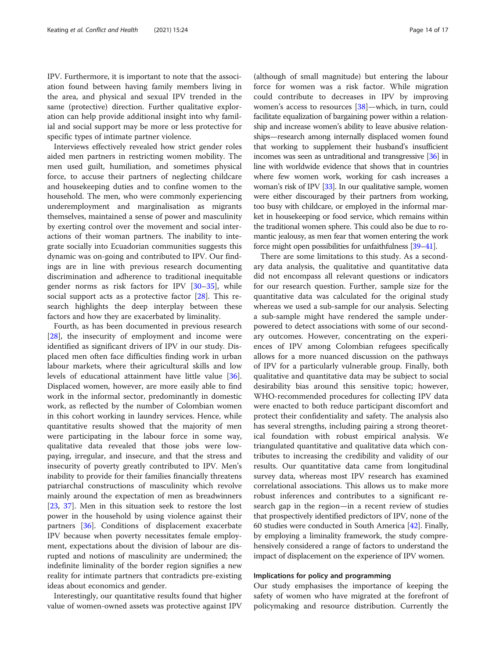IPV. Furthermore, it is important to note that the association found between having family members living in the area, and physical and sexual IPV trended in the same (protective) direction. Further qualitative exploration can help provide additional insight into why familial and social support may be more or less protective for specific types of intimate partner violence.

Interviews effectively revealed how strict gender roles aided men partners in restricting women mobility. The men used guilt, humiliation, and sometimes physical force, to accuse their partners of neglecting childcare and housekeeping duties and to confine women to the household. The men, who were commonly experiencing underemployment and marginalisation as migrants themselves, maintained a sense of power and masculinity by exerting control over the movement and social interactions of their woman partners. The inability to integrate socially into Ecuadorian communities suggests this dynamic was on-going and contributed to IPV. Our findings are in line with previous research documenting discrimination and adherence to traditional inequitable gender norms as risk factors for IPV [\[30](#page-15-0)–[35\]](#page-16-0), while social support acts as a protective factor [[28\]](#page-15-0). This research highlights the deep interplay between these factors and how they are exacerbated by liminality.

Fourth, as has been documented in previous research [[28\]](#page-15-0), the insecurity of employment and income were identified as significant drivers of IPV in our study. Displaced men often face difficulties finding work in urban labour markets, where their agricultural skills and low levels of educational attainment have little value [\[36](#page-16-0)]. Displaced women, however, are more easily able to find work in the informal sector, predominantly in domestic work, as reflected by the number of Colombian women in this cohort working in laundry services. Hence, while quantitative results showed that the majority of men were participating in the labour force in some way, qualitative data revealed that those jobs were lowpaying, irregular, and insecure, and that the stress and insecurity of poverty greatly contributed to IPV. Men's inability to provide for their families financially threatens patriarchal constructions of masculinity which revolve mainly around the expectation of men as breadwinners [[23,](#page-15-0) [37](#page-16-0)]. Men in this situation seek to restore the lost power in the household by using violence against their partners [[36\]](#page-16-0). Conditions of displacement exacerbate IPV because when poverty necessitates female employment, expectations about the division of labour are disrupted and notions of masculinity are undermined; the indefinite liminality of the border region signifies a new reality for intimate partners that contradicts pre-existing ideas about economics and gender.

Interestingly, our quantitative results found that higher value of women-owned assets was protective against IPV

(although of small magnitude) but entering the labour force for women was a risk factor. While migration could contribute to decreases in IPV by improving women's access to resources [\[38](#page-16-0)]—which, in turn, could facilitate equalization of bargaining power within a relationship and increase women's ability to leave abusive relationships—research among internally displaced women found that working to supplement their husband's insufficient incomes was seen as untraditional and transgressive [\[36\]](#page-16-0) in line with worldwide evidence that shows that in countries where few women work, working for cash increases a woman's risk of IPV [\[33](#page-16-0)]. In our qualitative sample, women were either discouraged by their partners from working, too busy with childcare, or employed in the informal market in housekeeping or food service, which remains within the traditional women sphere. This could also be due to romantic jealousy, as men fear that women entering the work force might open possibilities for unfaithfulness [[39](#page-16-0)–[41](#page-16-0)].

There are some limitations to this study. As a secondary data analysis, the qualitative and quantitative data did not encompass all relevant questions or indicators for our research question. Further, sample size for the quantitative data was calculated for the original study whereas we used a sub-sample for our analysis. Selecting a sub-sample might have rendered the sample underpowered to detect associations with some of our secondary outcomes. However, concentrating on the experiences of IPV among Colombian refugees specifically allows for a more nuanced discussion on the pathways of IPV for a particularly vulnerable group. Finally, both qualitative and quantitative data may be subject to social desirability bias around this sensitive topic; however, WHO-recommended procedures for collecting IPV data were enacted to both reduce participant discomfort and protect their confidentiality and safety. The analysis also has several strengths, including pairing a strong theoretical foundation with robust empirical analysis. We triangulated quantitative and qualitative data which contributes to increasing the credibility and validity of our results. Our quantitative data came from longitudinal survey data, whereas most IPV research has examined correlational associations. This allows us to make more robust inferences and contributes to a significant research gap in the region—in a recent review of studies that prospectively identified predictors of IPV, none of the 60 studies were conducted in South America [\[42\]](#page-16-0). Finally, by employing a liminality framework, the study comprehensively considered a range of factors to understand the impact of displacement on the experience of IPV women.

#### Implications for policy and programming

Our study emphasises the importance of keeping the safety of women who have migrated at the forefront of policymaking and resource distribution. Currently the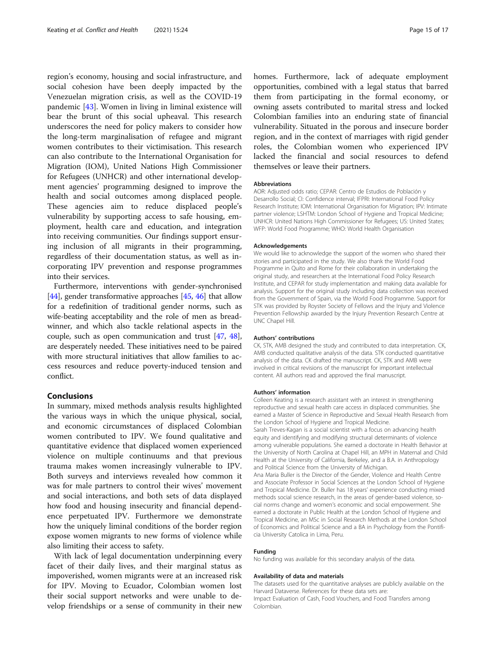region's economy, housing and social infrastructure, and social cohesion have been deeply impacted by the Venezuelan migration crisis, as well as the COVID-19 pandemic [[43\]](#page-16-0). Women in living in liminal existence will bear the brunt of this social upheaval. This research underscores the need for policy makers to consider how the long-term marginalisation of refugee and migrant women contributes to their victimisation. This research can also contribute to the International Organisation for Migration (IOM), United Nations High Commissioner for Refugees (UNHCR) and other international development agencies' programming designed to improve the health and social outcomes among displaced people. These agencies aim to reduce displaced people's vulnerability by supporting access to safe housing, employment, health care and education, and integration into receiving communities. Our findings support ensuring inclusion of all migrants in their programming, regardless of their documentation status, as well as incorporating IPV prevention and response programmes into their services.

Furthermore, interventions with gender-synchronised [[44](#page-16-0)], gender transformative approaches [\[45,](#page-16-0) [46\]](#page-16-0) that allow for a redefinition of traditional gender norms, such as wife-beating acceptability and the role of men as breadwinner, and which also tackle relational aspects in the couple, such as open communication and trust [[47,](#page-16-0) [48](#page-16-0)], are desperately needed. These initiatives need to be paired with more structural initiatives that allow families to access resources and reduce poverty-induced tension and conflict.

# Conclusions

In summary, mixed methods analysis results highlighted the various ways in which the unique physical, social, and economic circumstances of displaced Colombian women contributed to IPV. We found qualitative and quantitative evidence that displaced women experienced violence on multiple continuums and that previous trauma makes women increasingly vulnerable to IPV. Both surveys and interviews revealed how common it was for male partners to control their wives' movement and social interactions, and both sets of data displayed how food and housing insecurity and financial dependence perpetuated IPV. Furthermore we demonstrate how the uniquely liminal conditions of the border region expose women migrants to new forms of violence while also limiting their access to safety.

With lack of legal documentation underpinning every facet of their daily lives, and their marginal status as impoverished, women migrants were at an increased risk for IPV. Moving to Ecuador, Colombian women lost their social support networks and were unable to develop friendships or a sense of community in their new

homes. Furthermore, lack of adequate employment opportunities, combined with a legal status that barred them from participating in the formal economy, or owning assets contributed to marital stress and locked Colombian families into an enduring state of financial vulnerability. Situated in the porous and insecure border region, and in the context of marriages with rigid gender roles, the Colombian women who experienced IPV lacked the financial and social resources to defend themselves or leave their partners.

#### Abbreviations

AOR: Adjusted odds ratio; CEPAR: Centro de Estudios de Población y Desarrollo Social; CI: Confidence interval; IFPRI: International Food Policy Research Institute; IOM: International Organisation for Migration; IPV: Intimate partner violence; LSHTM: London School of Hygiene and Tropical Medicine; UNHCR: United Nations High Commissioner for Refugees; US: United States; WFP: World Food Programme; WHO: World Health Organisation

#### Acknowledgements

We would like to acknowledge the support of the women who shared their stories and participated in the study. We also thank the World Food Programme in Quito and Rome for their collaboration in undertaking the original study, and researchers at the International Food Policy Research Institute, and CEPAR for study implementation and making data available for analysis. Support for the original study including data collection was received from the Government of Spain, via the World Food Programme. Support for STK was provided by Royster Society of Fellows and the Injury and Violence Prevention Fellowship awarded by the Injury Prevention Research Centre at UNC Chapel Hill.

#### Authors' contributions

CK, STK, AMB designed the study and contributed to data interpretation. CK, AMB conducted qualitative analysis of the data. STK conducted quantitative analysis of the data. CK drafted the manuscript. CK, STK and AMB were involved in critical revisions of the manuscript for important intellectual content. All authors read and approved the final manuscript.

#### Authors' information

Colleen Keating is a research assistant with an interest in strengthening reproductive and sexual health care access in displaced communities. She earned a Master of Science in Reproductive and Sexual Health Research from the London School of Hygiene and Tropical Medicine. Sarah Treves-Kagan is a social scientist with a focus on advancing health equity and identifying and modifying structural determinants of violence among vulnerable populations. She earned a doctorate in Health Behavior at the University of North Carolina at Chapel Hill, an MPH in Maternal and Child Health at the University of California, Berkeley, and a B.A. in Anthropology and Political Science from the University of Michigan.

Ana Maria Buller is the Director of the Gender, Violence and Health Centre and Associate Professor in Social Sciences at the London School of Hygiene and Tropical Medicine. Dr. Buller has 18 years' experience conducting mixed methods social science research, in the areas of gender-based violence, social norms change and women's economic and social empowerment. She earned a doctorate in Public Health at the London School of Hygiene and Tropical Medicine, an MSc in Social Research Methods at the London School of Economics and Political Science and a BA in Psychology from the Pontificia University Catolica in Lima, Peru.

#### Funding

No funding was available for this secondary analysis of the data.

#### Availability of data and materials

The datasets used for the quantitative analyses are publicly available on the Harvard Dataverse. References for these data sets are: Impact Evaluation of Cash, Food Vouchers, and Food Transfers among Colombian.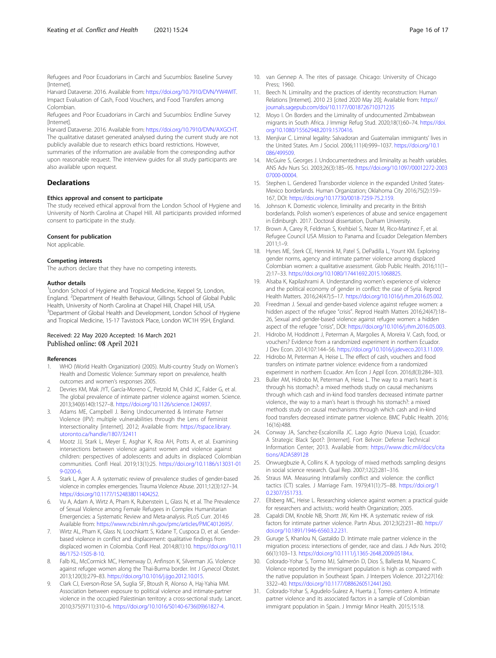<span id="page-15-0"></span>Refugees and Poor Ecuadorians in Carchi and Sucumbíos: Baseline Survey [Internet]

Harvard Dataverse. 2016. Available from: [https://doi.org/10.7910/DVN/YW4WIT.](https://doi.org/10.7910/DVN/YW4WIT) Impact Evaluation of Cash, Food Vouchers, and Food Transfers among Colombian.

Refugees and Poor Ecuadorians in Carchi and Sucumbíos: Endline Survey [Internet].

Harvard Dataverse. 2016. Available from: <https://doi.org/10.7910/DVN/AXGCHT>. The qualitative dataset generated analysed during the current study are not publicly available due to research ethics board restrictions. However, summaries of the information are available from the corresponding author upon reasonable request. The interview guides for all study participants are also available upon request.

# **Declarations**

#### Ethics approval and consent to participate

The study received ethical approval from the London School of Hygiene and University of North Carolina at Chapel Hill. All participants provided informed consent to participate in the study.

#### Consent for publication

Not applicable.

#### Competing interests

The authors declare that they have no competing interests.

#### Author details

<sup>1</sup> London School of Hygiene and Tropical Medicine, Keppel St, London, England. <sup>2</sup> Department of Health Behaviour, Gillings School of Global Public Health, University of North Carolina at Chapel Hill, Chapel Hill, USA. <sup>3</sup>Department of Global Health and Development, London School of Hygiene and Tropical Medicine, 15-17 Tavistock Place, London WC1H 9SH, England.

#### Received: 22 May 2020 Accepted: 16 March 2021 Published online: 08 April 2021

#### References

- 1. WHO (World Health Organization) (2005). Multi-country Study on Women's Health and Domestic Violence: Summary report on prevalence, health outcomes and women's responses 2005.
- 2. Devries KM, Mak JYT, García-Moreno C, Petzold M, Child JC, Falder G, et al. The global prevalence of intimate partner violence against women. Science. 2013;340(6140):1527–8. <https://doi.org/10.1126/science.1240937>.
- Adams ME, Campbell J. Being Undocumented & Intimate Partner Violence (IPV): multiple vulnerabilities through the Lens of feminist Intersectionality [internet]. 2012; Available from: [https://tspace.library.](https://tspace.library.utoronto.ca/handle/1807/32411) [utoronto.ca/handle/1807/32411](https://tspace.library.utoronto.ca/handle/1807/32411)
- 4. Mootz JJ, Stark L, Meyer E, Asghar K, Roa AH, Potts A, et al. Examining intersections between violence against women and violence against children: perspectives of adolescents and adults in displaced Colombian communities. Confl Heal. 2019;13(1):25. [https://doi.org/10.1186/s13031-01](https://doi.org/10.1186/s13031-019-0200-6) [9-0200-6](https://doi.org/10.1186/s13031-019-0200-6).
- 5. Stark L, Ager A. A systematic review of prevalence studies of gender-based violence in complex emergencies. Trauma Violence Abuse. 2011;12(3):127–34. [https://doi.org/10.1177/1524838011404252.](https://doi.org/10.1177/1524838011404252)
- 6. Vu A, Adam A, Wirtz A, Pham K, Rubenstein L, Glass N, et al. The Prevalence of Sexual Violence among Female Refugees in Complex Humanitarian Emergencies: a Systematic Review and Meta-analysis. PLoS Curr. 2014:6 Available from: <https://www.ncbi.nlm.nih.gov/pmc/articles/PMC4012695/>.
- Wirtz AL, Pham K, Glass N, Loochkartt S, Kidane T, Cuspoca D, et al. Genderbased violence in conflict and displacement: qualitative findings from displaced women in Colombia. Confl Heal. 2014;8(1):10. [https://doi.org/10.11](https://doi.org/10.1186/1752-1505-8-10) [86/1752-1505-8-10.](https://doi.org/10.1186/1752-1505-8-10)
- 8. Falb KL, McCormick MC, Hemenway D, Anfinson K, Silverman JG. Violence against refugee women along the Thai-Burma border. Int J Gynecol Obstet. 2013;120(3):279–83. [https://doi.org/10.1016/j.ijgo.2012.10.015.](https://doi.org/10.1016/j.ijgo.2012.10.015)
- 9. Clark CJ, Everson-Rose SA, Suglia SF, Btoush R, Alonso A, Haj-Yahia MM. Association between exposure to political violence and intimate-partner violence in the occupied Palestinian territory: a cross-sectional study. Lancet. 2010;375(9711):310–6. [https://doi.org/10.1016/S0140-6736\(09\)61827-4.](https://doi.org/10.1016/S0140-6736(09)61827-4)
- 10. van Gennep A. The rites of passage. Chicago: University of Chicago Press; 1960.
- 11. Beech N. Liminality and the practices of identity reconstruction: Human Relations [Internet]. 2010 23 [cited 2020 May 20]; Available from: [https://](http://dx.doi.org/10.1177/0018726710371235) [journals.sagepub.com/doi/10.1177/0018726710371235](http://dx.doi.org/10.1177/0018726710371235)
- 12. Moyo I. On Borders and the Liminality of undocumented Zimbabwean migrants in South Africa. J Immigr Refug Stud. 2020;18(1):60–74. [https://doi.](https://doi.org/10.1080/15562948.2019.1570416) [org/10.1080/15562948.2019.1570416](https://doi.org/10.1080/15562948.2019.1570416).
- 13. Menjívar C. Liminal legality: Salvadoran and Guatemalan immigrants' lives in the United States. Am J Sociol. 2006;111(4):999–1037. [https://doi.org/10.1](https://doi.org/10.1086/499509) [086/499509.](https://doi.org/10.1086/499509)
- 14. McGuire S, Georges J, Undocumentedness and liminality as health variables. ANS Adv Nurs Sci. 2003;26(3):185–95. [https://doi.org/10.1097/00012272-2003](https://doi.org/10.1097/00012272-200307000-00004) [07000-00004.](https://doi.org/10.1097/00012272-200307000-00004)
- 15. Stephen L. Gendered Transborder violence in the expanded United States-Mexico borderlands. Human Organization; Oklahoma City 2016;75(2):159– 167, DOI: <https://doi.org/10.17730/0018-7259-75.2.159>.
- 16. Johnson K. Domestic violence, liminality and precarity in the British borderlands. Polish women's experiences of abuse and service engagement in Edinburgh. 2017. Doctoral dissertation, Durham University.
- 17. Brown A, Carey R, Feldman S, Krehbiel S, Nezer M, Rico-Martinez F, et al. Refugee Council USA Mission to Panama and Ecuador Delegation Members 2011;1–9.
- 18. Hynes ME, Sterk CE, Hennink M, Patel S, DePadilla L, Yount KM. Exploring gender norms, agency and intimate partner violence among displaced Colombian women: a qualitative assessment. Glob Public Health. 2016;11(1– 2):17–33. <https://doi.org/10.1080/17441692.2015.1068825>.
- 19. Alsaba K, Kapilashrami A. Understanding women's experience of violence and the political economy of gender in conflict: the case of Syria. Reprod Health Matters. 2016;24(47):5–17. <https://doi.org/10.1016/j.rhm.2016.05.002>.
- 20. Freedman J. Sexual and gender-based violence against refugee women: a hidden aspect of the refugee "crisis". Reprod Health Matters 2016;24(47):18– 26, Sexual and gender-based violence against refugee women: a hidden aspect of the refugee "crisis", DOI: <https://doi.org/10.1016/j.rhm.2016.05.003>.
- 21. Hidrobo M, Hoddinott J, Peterman A, Margolies A, Moreira V. Cash, food, or vouchers? Evidence from a randomized experiment in northern Ecuador. J Dev Econ. 2014;107:144–56. [https://doi.org/10.1016/j.jdeveco.2013.11.009.](https://doi.org/10.1016/j.jdeveco.2013.11.009)
- 22. Hidrobo M, Peterman A, Heise L. The effect of cash, vouchers and food transfers on intimate partner violence: evidence from a randomized experiment in northern Ecuador. Am Econ J Appl Econ. 2016;8(3):284–303.
- 23. Buller AM, Hidrobo M, Peterman A, Heise L. The way to a man's heart is through his stomach?: a mixed methods study on causal mechanisms through which cash and in-kind food transfers decreased intimate partner violence., the way to a man's heart is through his stomach?: a mixed methods study on causal mechanisms through which cash and in-kind food transfers decreased intimate partner violence. BMC Public Health. 2016; 16(16):488.
- 24. Conway JA, Sanchez-Escalonilla JC. Lago Agrio (Nueva Loja), Ecuador: A Strategic Black Spot?: [Internet]. Fort Belvoir: Defense Technical Information Center; 2013. Available from: [https://www.dtic.mil/docs/cita](https://www.dtic.mil/docs/citations/ADA589128) [tions/ADA589128](https://www.dtic.mil/docs/citations/ADA589128)
- 25. Onwuegbuzie A, Collins K. A typology of mixed methods sampling designs in social science research. Qual Rep. 2007;12(2):281–316.
- 26. Straus MA. Measuring Intrafamily conflict and violence: the conflict tactics (CT) scales. J Marriage Fam. 1979;41(1):75–88. [https://doi.org/1](https://doi.org/10.2307/351733) [0.2307/351733](https://doi.org/10.2307/351733).
- 27. Ellsberg MC, Heise L. Researching violence against women: a practical guide for researchers and activists.: world health Organization; 2005.
- 28. Capaldi DM, Knoble NB, Shortt JW, Kim HK. A systematic review of risk factors for intimate partner violence. Partn Abus. 2012;3(2):231–80. [https://](https://doi.org/10.1891/1946-6560.3.2.231) [doi.org/10.1891/1946-6560.3.2.231](https://doi.org/10.1891/1946-6560.3.2.231).
- 29. Guruge S, Khanlou N, Gastaldo D. Intimate male partner violence in the migration process: intersections of gender, race and class. J Adv Nurs. 2010; 66(1):103–13. <https://doi.org/10.1111/j.1365-2648.2009.05184.x>.
- 30. Colorado-Yohar S, Tormo MJ, Salmerón D, Dios S, Ballesta M, Navarro C. Violence reported by the immigrant population is high as compared with the native population in Southeast Spain. J Interpers Violence. 2012;27(16): 3322–40. [https://doi.org/10.1177/0886260512441260.](https://doi.org/10.1177/0886260512441260)
- 31. Colorado-Yohar S, Agudelo-Suárez A, Huerta J, Torres-cantero A. Intimate partner violence and its associated factors in a sample of Colombian immigrant population in Spain. J Immigr Minor Health. 2015;15:18.